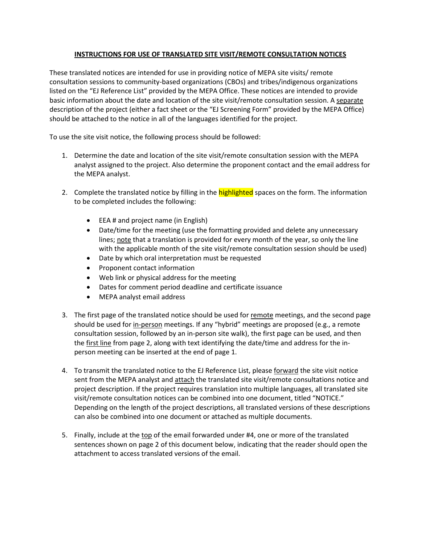# **INSTRUCTIONS FOR USE OF TRANSLATED SITE VISIT/REMOTE CONSULTATION NOTICES**

These translated notices are intended for use in providing notice of MEPA site visits/ remote consultation sessions to community-based organizations (CBOs) and tribes/indigenous organizations listed on the "EJ Reference List" provided by the MEPA Office. These notices are intended to provide basic information about the date and location of the site visit/remote consultation session. A separate description of the project (either a fact sheet or the "EJ Screening Form" provided by the MEPA Office) should be attached to the notice in all of the languages identified for the project.

To use the site visit notice, the following process should be followed:

- 1. Determine the date and location of the site visit/remote consultation session with the MEPA analyst assigned to the project. Also determine the proponent contact and the email address for the MEPA analyst.
- 2. Complete the translated notice by filling in the **highlighted** spaces on the form. The information to be completed includes the following:
	- EEA # and project name (in English)
	- Date/time for the meeting (use the formatting provided and delete any unnecessary lines; note that a translation is provided for every month of the year, so only the line with the applicable month of the site visit/remote consultation session should be used)
	- Date by which oral interpretation must be requested
	- Proponent contact information
	- Web link or physical address for the meeting
	- Dates for comment period deadline and certificate issuance
	- MEPA analyst email address
- 3. The first page of the translated notice should be used for remote meetings, and the second page should be used for in-person meetings. If any "hybrid" meetings are proposed (e.g., a remote consultation session, followed by an in-person site walk), the first page can be used, and then the first line from page 2, along with text identifying the date/time and address for the inperson meeting can be inserted at the end of page 1.
- 4. To transmit the translated notice to the EJ Reference List, please forward the site visit notice sent from the MEPA analyst and attach the translated site visit/remote consultations notice and project description. If the project requires translation into multiple languages, all translated site visit/remote consultation notices can be combined into one document, titled "NOTICE." Depending on the length of the project descriptions, all translated versions of these descriptions can also be combined into one document or attached as multiple documents.
- 5. Finally, include at the top of the email forwarded under #4, one or more of the translated sentences shown on page 2 of this document below, indicating that the reader should open the attachment to access translated versions of the email.